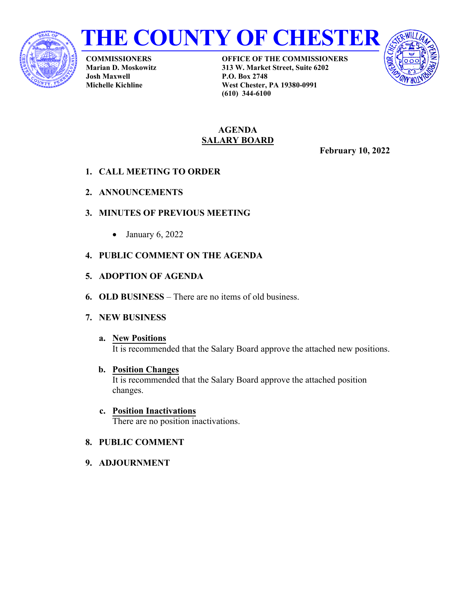



**COMMISSIONERS Marian D. Moskowitz Josh Maxwell Michelle Kichline**

**OFFICE OF THE COMMISSIONERS 313 W. Market Street, Suite 6202 P.O. Box 2748 West Chester, PA 19380-0991 (610) 344-6100**



## **AGENDA SALARY BOARD**

**February 10, 2022** 

- **1. CALL MEETING TO ORDER**
- **2. ANNOUNCEMENTS**
- **3. MINUTES OF PREVIOUS MEETING**
	- January  $6, 2022$
- **4. PUBLIC COMMENT ON THE AGENDA**
- **5. ADOPTION OF AGENDA**
- **6. OLD BUSINESS** There are no items of old business.
- **7. NEW BUSINESS**
	- **a. New Positions** It is recommended that the Salary Board approve the attached new positions.
	- **b. Position Changes** It is recommended that the Salary Board approve the attached position changes.
	- **c. Position Inactivations** There are no position inactivations.
- **8. PUBLIC COMMENT**
- **9. ADJOURNMENT**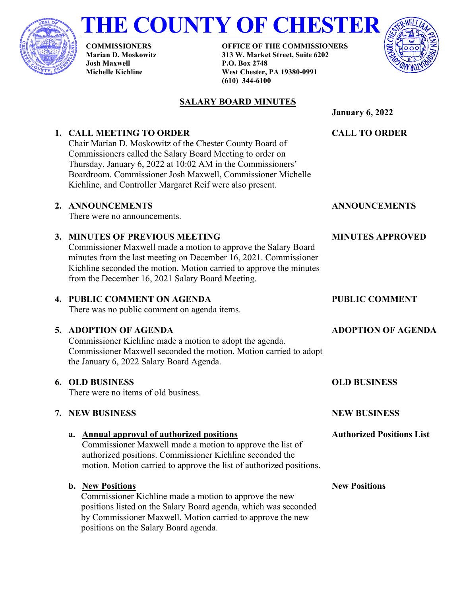

# **THE COUNTY OF CHESTER**

**COMMISSIONERS Marian D. Moskowitz Josh Maxwell Michelle Kichline**

**OFFICE OF THE COMMISSIONERS 313 W. Market Street, Suite 6202 P.O. Box 2748 West Chester, PA 19380-0991 (610) 344-6100**



# **SALARY BOARD MINUTES**

**January 6, 2022**

**CALL TO ORDER**

# **1. CALL MEETING TO ORDER**

Chair Marian D. Moskowitz of the Chester County Board of Commissioners called the Salary Board Meeting to order on Thursday, January 6, 2022 at 10:02 AM in the Commissioners' Boardroom. Commissioner Josh Maxwell, Commissioner Michelle Kichline, and Controller Margaret Reif were also present.

## **2. ANNOUNCEMENTS**

There were no announcements.

# **3. MINUTES OF PREVIOUS MEETING**

Commissioner Maxwell made a motion to approve the Salary Board minutes from the last meeting on December 16, 2021. Commissioner Kichline seconded the motion. Motion carried to approve the minutes from the December 16, 2021 Salary Board Meeting.

# **4. PUBLIC COMMENT ON AGENDA**

There was no public comment on agenda items.

# **5. ADOPTION OF AGENDA**

Commissioner Kichline made a motion to adopt the agenda. Commissioner Maxwell seconded the motion. Motion carried to adopt the January 6, 2022 Salary Board Agenda.

# **6. OLD BUSINESS**

There were no items of old business.

# **7. NEW BUSINESS**

## **a. Annual approval of authorized positions**

Commissioner Maxwell made a motion to approve the list of authorized positions. Commissioner Kichline seconded the motion. Motion carried to approve the list of authorized positions.

# **b. New Positions**

Commissioner Kichline made a motion to approve the new positions listed on the Salary Board agenda, which was seconded by Commissioner Maxwell. Motion carried to approve the new positions on the Salary Board agenda.

**ANNOUNCEMENTS** 

## **MINUTES APPROVED**

# **PUBLIC COMMENT**

# **ADOPTION OF AGENDA**

# **OLD BUSINESS**

**NEW BUSINESS**

**Authorized Positions List**

#### **New Positions**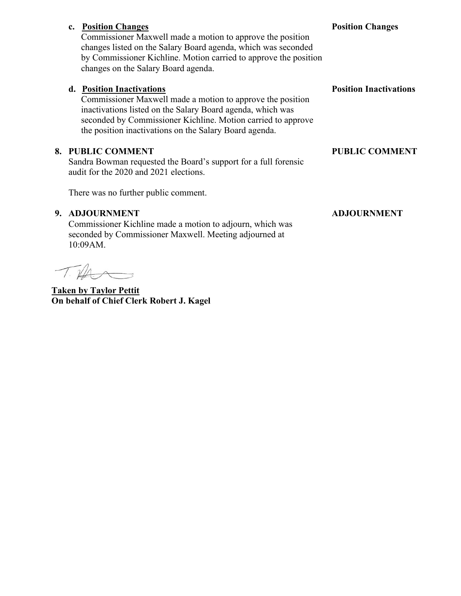# **c. Position Changes** Commissioner Maxwell made a motion to approve the position changes listed on the Salary Board agenda, which was seconded

by Commissioner Kichline. Motion carried to approve the position changes on the Salary Board agenda.

# **d. Position Inactivations**

Commissioner Maxwell made a motion to approve the position inactivations listed on the Salary Board agenda, which was seconded by Commissioner Kichline. Motion carried to approve the position inactivations on the Salary Board agenda.

## **8. PUBLIC COMMENT**

Sandra Bowman requested the Board's support for a full forensic audit for the 2020 and 2021 elections.

There was no further public comment.

## **9. ADJOURNMENT**

Commissioner Kichline made a motion to adjourn, which was seconded by Commissioner Maxwell. Meeting adjourned at 10:09AM.

 $T\cancel{11}$ 

**Taken by Taylor Pettit On behalf of Chief Clerk Robert J. Kagel**

### **Position Changes**

**Position Inactivations**

### **PUBLIC COMMENT**

### **ADJOURNMENT**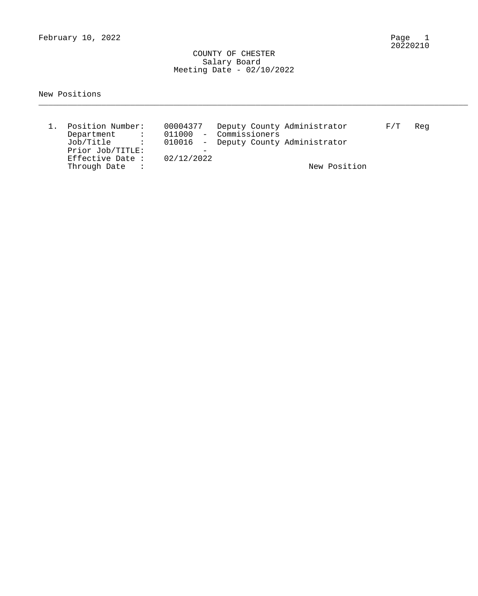February 10, 2022

 COUNTY OF CHESTER Salary Board Meeting Date - 02/10/2022

New Positions

| Position Number:            | 00004377   | Deputy County Administrator          | F/T | Reg |
|-----------------------------|------------|--------------------------------------|-----|-----|
| Department<br>and the state |            | 011000 - Commissioners               |     |     |
| Job/Title :                 |            | 010016 - Deputy County Administrator |     |     |
| Prior Job/TITLE:            |            |                                      |     |     |
| Effective Date :            | 02/12/2022 |                                      |     |     |
| Through Date                |            | New Position                         |     |     |

\_\_\_\_\_\_\_\_\_\_\_\_\_\_\_\_\_\_\_\_\_\_\_\_\_\_\_\_\_\_\_\_\_\_\_\_\_\_\_\_\_\_\_\_\_\_\_\_\_\_\_\_\_\_\_\_\_\_\_\_\_\_\_\_\_\_\_\_\_\_\_\_\_\_\_\_\_\_\_\_\_\_\_\_\_\_\_\_\_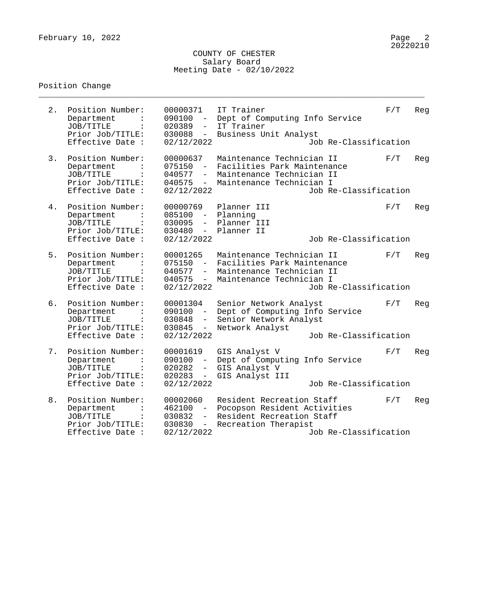#### COUNTY OF CHESTER Salary Board Meeting Date - 02/10/2022

\_\_\_\_\_\_\_\_\_\_\_\_\_\_\_\_\_\_\_\_\_\_\_\_\_\_\_\_\_\_\_\_\_\_\_\_\_\_\_\_\_\_\_\_\_\_\_\_\_\_\_\_\_\_\_\_\_\_\_\_\_\_\_\_\_\_\_\_\_\_\_\_\_\_\_\_\_\_\_\_

# Position Change

| 2. | Position Number:<br>Department<br>JOB/TITLE<br>Prior Job/TITLE:<br>Effective Date :                   | 00000371<br>090100<br>$\equiv$ .<br>020389<br>$\equiv$ .<br>$030088 -$<br>02/12/2022                  | IT Trainer<br>Dept of Computing Info Service<br>IT Trainer<br>Business Unit Analyst                               | Job Re-Classification | F/T | Reg |
|----|-------------------------------------------------------------------------------------------------------|-------------------------------------------------------------------------------------------------------|-------------------------------------------------------------------------------------------------------------------|-----------------------|-----|-----|
| 3. | Position Number:<br>Department<br>JOB/TITLE<br>Prior Job/TITLE:<br>Effective Date :                   | 00000637<br>075150<br>040577<br>$ \,$<br>040575<br>$\sim$<br>02/12/2022                               | Maintenance Technician II<br>Facilities Park Maintenance<br>Maintenance Technician II<br>Maintenance Technician I | Job Re-Classification | F/T | Reg |
| 4. | Position Number:<br>Department<br>JOB/TITLE<br>$\ddot{\cdot}$<br>Prior Job/TITLE:<br>Effective Date : | 00000769<br>085100 -<br>030095<br>$\sim$ 100 $\sim$<br>030480<br>$\overline{a}$<br>02/12/2022         | Planner III<br>Planning<br>Planner III<br>Planner II                                                              | Job Re-Classification | F/T | Reg |
| 5. | Position Number:<br>Department<br>JOB/TITLE<br>Prior Job/TITLE:<br>Effective Date :                   | 00001265<br>$075150 -$<br>040577<br>$-$<br>040575<br>$\frac{1}{2}$<br>02/12/2022                      | Maintenance Technician II<br>Facilities Park Maintenance<br>Maintenance Technician II<br>Maintenance Technician I | Job Re-Classification | F/T | Reg |
| б. | Position Number:<br>Department<br>JOB/TITLE<br>Prior Job/TITLE:<br>Effective Date :                   | 00001304<br>090100<br>$\overline{a}$<br>030848<br>$ \,$<br>030845<br>$\equiv$ .<br>02/12/2022         | Senior Network Analyst<br>Dept of Computing Info Service<br>Senior Network Analyst<br>Network Analyst             | Job Re-Classification | F/T | Reg |
| 7. | Position Number:<br>Department<br>JOB/TITLE<br>Prior Job/TITLE:<br>Effective Date :                   | 00001619<br>090100<br>$\sim$ $-$<br>020282<br>$\overline{\phantom{0}}$<br>020283<br>$-$<br>02/12/2022 | GIS Analyst V<br>Dept of Computing Info Service<br>GIS Analyst V<br>GIS Analyst III                               | Job Re-Classification | F/T | Reg |
| 8. | Position Number:<br>Department<br>JOB/TITLE<br>$\ddot{\cdot}$<br>Prior Job/TITLE:<br>Effective Date : | 00002060<br>462100<br>030832<br>$ \,$<br>030830<br>$\frac{1}{2}$<br>02/12/2022                        | Resident Recreation Staff<br>Pocopson Resident Activities<br>Resident Recreation Staff<br>Recreation Therapist    | Job Re-Classification | F/T | Reg |